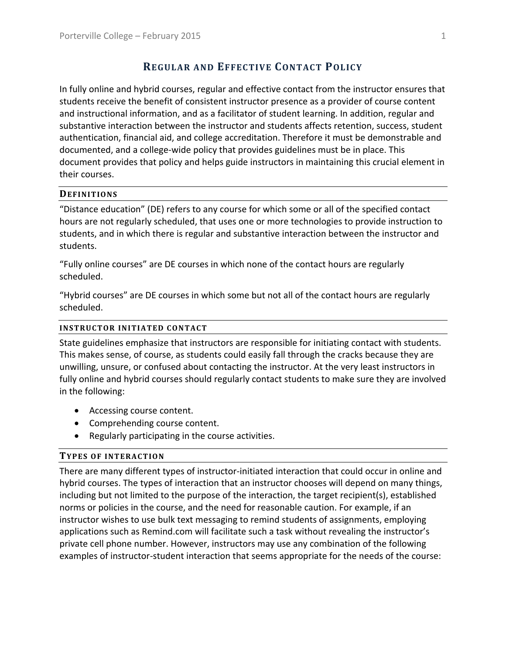# **REGULAR AND EFFECTIVE CONTACT POLICY**

In fully online and hybrid courses, regular and effective contact from the instructor ensures that students receive the benefit of consistent instructor presence as a provider of course content and instructional information, and as a facilitator of student learning. In addition, regular and substantive interaction between the instructor and students affects retention, success, student authentication, financial aid, and college accreditation. Therefore it must be demonstrable and documented, and a college‐wide policy that provides guidelines must be in place. This document provides that policy and helps guide instructors in maintaining this crucial element in their courses.

# **DEFINITIONS**

"Distance education" (DE) refers to any course for which some or all of the specified contact hours are not regularly scheduled, that uses one or more technologies to provide instruction to students, and in which there is regular and substantive interaction between the instructor and students.

"Fully online courses" are DE courses in which none of the contact hours are regularly scheduled.

"Hybrid courses" are DE courses in which some but not all of the contact hours are regularly scheduled.

## **INSTRUCTOR INITIATED CONTACT**

State guidelines emphasize that instructors are responsible for initiating contact with students. This makes sense, of course, as students could easily fall through the cracks because they are unwilling, unsure, or confused about contacting the instructor. At the very least instructors in fully online and hybrid courses should regularly contact students to make sure they are involved in the following:

- Accessing course content.
- Comprehending course content.
- Regularly participating in the course activities.

# **TYPES OF INTERACTION**

There are many different types of instructor‐initiated interaction that could occur in online and hybrid courses. The types of interaction that an instructor chooses will depend on many things, including but not limited to the purpose of the interaction, the target recipient(s), established norms or policies in the course, and the need for reasonable caution. For example, if an instructor wishes to use bulk text messaging to remind students of assignments, employing applications such as Remind.com will facilitate such a task without revealing the instructor's private cell phone number. However, instructors may use any combination of the following examples of instructor-student interaction that seems appropriate for the needs of the course: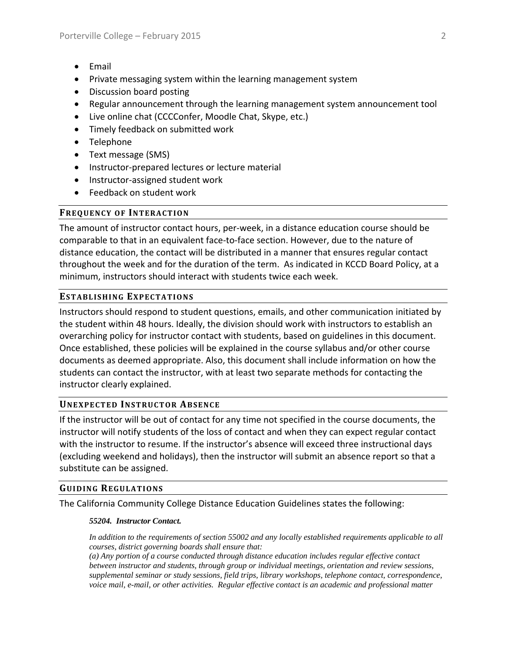- Email
- Private messaging system within the learning management system
- Discussion board posting
- Regular announcement through the learning management system announcement tool
- Live online chat (CCCConfer, Moodle Chat, Skype, etc.)
- Timely feedback on submitted work
- Telephone
- Text message (SMS)
- Instructor-prepared lectures or lecture material
- Instructor-assigned student work
- Feedback on student work

# **FREQUENCY OF INTERACTION**

The amount of instructor contact hours, per-week, in a distance education course should be comparable to that in an equivalent face‐to‐face section. However, due to the nature of distance education, the contact will be distributed in a manner that ensures regular contact throughout the week and for the duration of the term. As indicated in KCCD Board Policy, at a minimum, instructors should interact with students twice each week.

# **ESTABLISHING EXPECTATIONS**

Instructors should respond to student questions, emails, and other communication initiated by the student within 48 hours. Ideally, the division should work with instructors to establish an overarching policy for instructor contact with students, based on guidelines in this document. Once established, these policies will be explained in the course syllabus and/or other course documents as deemed appropriate. Also, this document shall include information on how the students can contact the instructor, with at least two separate methods for contacting the instructor clearly explained.

# **UNEXPECTED INSTRUCTOR ABSENCE**

If the instructor will be out of contact for any time not specified in the course documents, the instructor will notify students of the loss of contact and when they can expect regular contact with the instructor to resume. If the instructor's absence will exceed three instructional days (excluding weekend and holidays), then the instructor will submit an absence report so that a substitute can be assigned.

### **GUIDING REGULATIONS**

The California Community College Distance Education Guidelines states the following:

### *55204. Instructor Contact.*

*In addition to the requirements of section 55002 and any locally established requirements applicable to all courses, district governing boards shall ensure that:* 

*(a) Any portion of a course conducted through distance education includes regular effective contact between instructor and students, through group or individual meetings, orientation and review sessions, supplemental seminar or study sessions, field trips, library workshops, telephone contact, correspondence, voice mail, e-mail, or other activities. Regular effective contact is an academic and professional matter*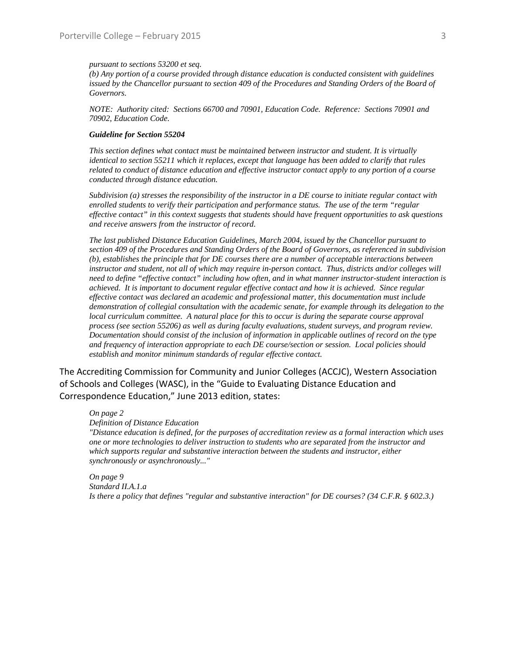#### *pursuant to sections 53200 et seq.*

*(b) Any portion of a course provided through distance education is conducted consistent with guidelines*  issued by the Chancellor pursuant to section 409 of the Procedures and Standing Orders of the Board of *Governors.* 

*NOTE: Authority cited: Sections 66700 and 70901, Education Code. Reference: Sections 70901 and 70902, Education Code.* 

#### *Guideline for Section 55204*

*This section defines what contact must be maintained between instructor and student. It is virtually identical to section 55211 which it replaces, except that language has been added to clarify that rules related to conduct of distance education and effective instructor contact apply to any portion of a course conducted through distance education.* 

*Subdivision (a) stresses the responsibility of the instructor in a DE course to initiate regular contact with enrolled students to verify their participation and performance status. The use of the term "regular effective contact" in this context suggests that students should have frequent opportunities to ask questions and receive answers from the instructor of record.* 

*The last published Distance Education Guidelines, March 2004, issued by the Chancellor pursuant to section 409 of the Procedures and Standing Orders of the Board of Governors, as referenced in subdivision (b), establishes the principle that for DE courses there are a number of acceptable interactions between instructor and student, not all of which may require in-person contact. Thus, districts and/or colleges will need to define "effective contact" including how often, and in what manner instructor-student interaction is achieved. It is important to document regular effective contact and how it is achieved. Since regular effective contact was declared an academic and professional matter, this documentation must include demonstration of collegial consultation with the academic senate, for example through its delegation to the local curriculum committee. A natural place for this to occur is during the separate course approval process (see section 55206) as well as during faculty evaluations, student surveys, and program review. Documentation should consist of the inclusion of information in applicable outlines of record on the type and frequency of interaction appropriate to each DE course/section or session. Local policies should establish and monitor minimum standards of regular effective contact.* 

The Accrediting Commission for Community and Junior Colleges (ACCJC), Western Association of Schools and Colleges (WASC), in the "Guide to Evaluating Distance Education and Correspondence Education," June 2013 edition, states:

#### *On page 2*

*Definition of Distance Education* 

*"Distance education is defined, for the purposes of accreditation review as a formal interaction which uses one or more technologies to deliver instruction to students who are separated from the instructor and which supports regular and substantive interaction between the students and instructor, either synchronously or asynchronously..."* 

*On page 9 Standard II.A.1.a Is there a policy that defines "regular and substantive interaction" for DE courses? (34 C.F.R. § 602.3.)*